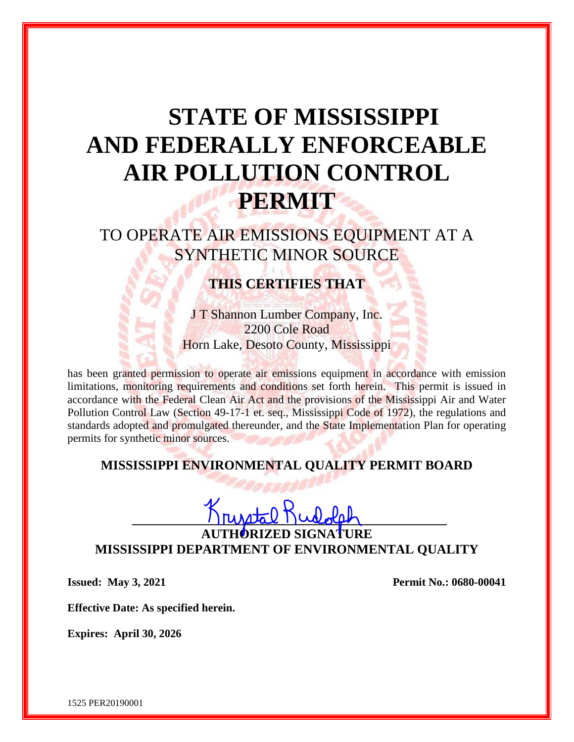# **STATE OF MISSISSIPPI AND FEDERALLY ENFORCEABLE AIR POLLUTION CONTROL PERMIT**

TO OPERATE AIR EMISSIONS EQUIPMENT AT A SYNTHETIC MINOR SOURCE

# **THIS CERTIFIES THAT**

J T Shannon Lumber Company, Inc. 2200 Cole Road Horn Lake, Desoto County, Mississippi

has been granted permission to operate air emissions equipment in accordance with emission limitations, monitoring requirements and conditions set forth herein. This permit is issued in accordance with the Federal Clean Air Act and the provisions of the Mississippi Air and Water Pollution Control Law (Section 49-17-1 et. seq., Mississippi Code of 1972), the regulations and standards adopted and promulgated thereunder, and the State Implementation Plan for operating permits for synthetic minor sources.

## **MISSISSIPPI ENVIRONMENTAL QUALITY PERMIT BOARD**

**\_\_\_\_\_\_\_\_\_\_\_\_\_\_\_\_\_\_\_\_\_\_\_\_\_\_\_\_\_\_\_\_\_\_\_\_\_\_\_\_\_\_\_\_\_\_\_\_**

**AUTHORIZED SIGNATURE MISSISSIPPI DEPARTMENT OF ENVIRONMENTAL QUALITY**

**Issued: May 3, 2021 Permit No.: 0680-00041** 

**Effective Date: As specified herein.**

**Expires: April 30, 2026**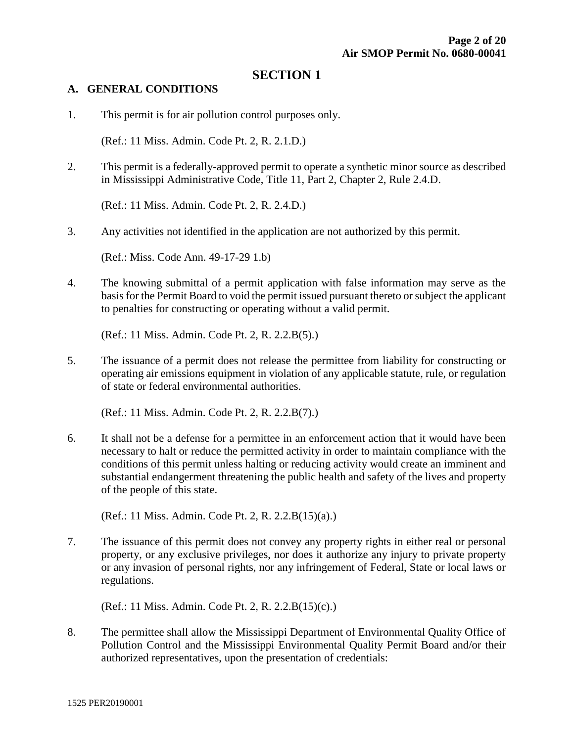### **SECTION 1**

#### **A. GENERAL CONDITIONS**

1. This permit is for air pollution control purposes only.

(Ref.: 11 Miss. Admin. Code Pt. 2, R. 2.1.D.)

2. This permit is a federally-approved permit to operate a synthetic minor source as described in Mississippi Administrative Code, Title 11, Part 2, Chapter 2, Rule 2.4.D.

(Ref.: 11 Miss. Admin. Code Pt. 2, R. 2.4.D.)

3. Any activities not identified in the application are not authorized by this permit.

(Ref.: Miss. Code Ann. 49-17-29 1.b)

4. The knowing submittal of a permit application with false information may serve as the basis for the Permit Board to void the permit issued pursuant thereto or subject the applicant to penalties for constructing or operating without a valid permit.

(Ref.: 11 Miss. Admin. Code Pt. 2, R. 2.2.B(5).)

5. The issuance of a permit does not release the permittee from liability for constructing or operating air emissions equipment in violation of any applicable statute, rule, or regulation of state or federal environmental authorities.

(Ref.: 11 Miss. Admin. Code Pt. 2, R. 2.2.B(7).)

6. It shall not be a defense for a permittee in an enforcement action that it would have been necessary to halt or reduce the permitted activity in order to maintain compliance with the conditions of this permit unless halting or reducing activity would create an imminent and substantial endangerment threatening the public health and safety of the lives and property of the people of this state.

(Ref.: 11 Miss. Admin. Code Pt. 2, R. 2.2.B(15)(a).)

7. The issuance of this permit does not convey any property rights in either real or personal property, or any exclusive privileges, nor does it authorize any injury to private property or any invasion of personal rights, nor any infringement of Federal, State or local laws or regulations.

(Ref.: 11 Miss. Admin. Code Pt. 2, R. 2.2.B(15)(c).)

8. The permittee shall allow the Mississippi Department of Environmental Quality Office of Pollution Control and the Mississippi Environmental Quality Permit Board and/or their authorized representatives, upon the presentation of credentials: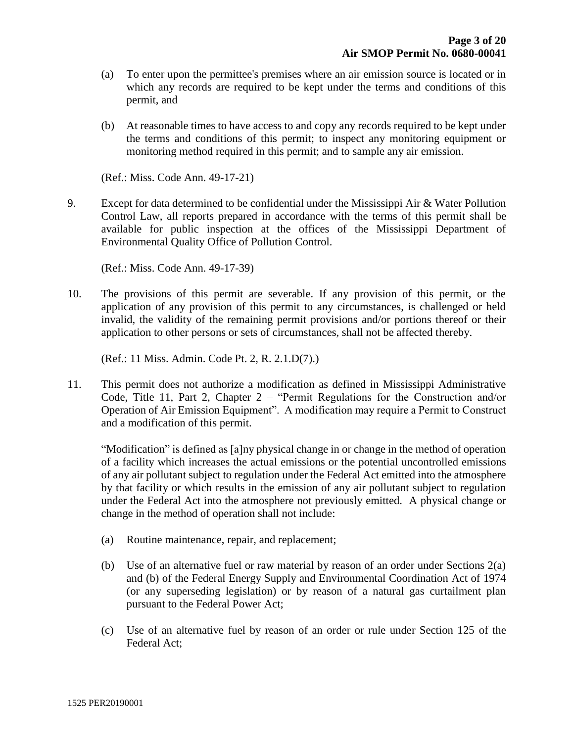- (a) To enter upon the permittee's premises where an air emission source is located or in which any records are required to be kept under the terms and conditions of this permit, and
- (b) At reasonable times to have access to and copy any records required to be kept under the terms and conditions of this permit; to inspect any monitoring equipment or monitoring method required in this permit; and to sample any air emission.

(Ref.: Miss. Code Ann. 49-17-21)

9. Except for data determined to be confidential under the Mississippi Air  $\&$  Water Pollution Control Law, all reports prepared in accordance with the terms of this permit shall be available for public inspection at the offices of the Mississippi Department of Environmental Quality Office of Pollution Control.

(Ref.: Miss. Code Ann. 49-17-39)

10. The provisions of this permit are severable. If any provision of this permit, or the application of any provision of this permit to any circumstances, is challenged or held invalid, the validity of the remaining permit provisions and/or portions thereof or their application to other persons or sets of circumstances, shall not be affected thereby.

(Ref.: 11 Miss. Admin. Code Pt. 2, R. 2.1.D(7).)

11. This permit does not authorize a modification as defined in Mississippi Administrative Code, Title 11, Part 2, Chapter 2 – "Permit Regulations for the Construction and/or Operation of Air Emission Equipment". A modification may require a Permit to Construct and a modification of this permit.

"Modification" is defined as [a]ny physical change in or change in the method of operation of a facility which increases the actual emissions or the potential uncontrolled emissions of any air pollutant subject to regulation under the Federal Act emitted into the atmosphere by that facility or which results in the emission of any air pollutant subject to regulation under the Federal Act into the atmosphere not previously emitted. A physical change or change in the method of operation shall not include:

- (a) Routine maintenance, repair, and replacement;
- (b) Use of an alternative fuel or raw material by reason of an order under Sections 2(a) and (b) of the Federal Energy Supply and Environmental Coordination Act of 1974 (or any superseding legislation) or by reason of a natural gas curtailment plan pursuant to the Federal Power Act;
- (c) Use of an alternative fuel by reason of an order or rule under Section 125 of the Federal Act;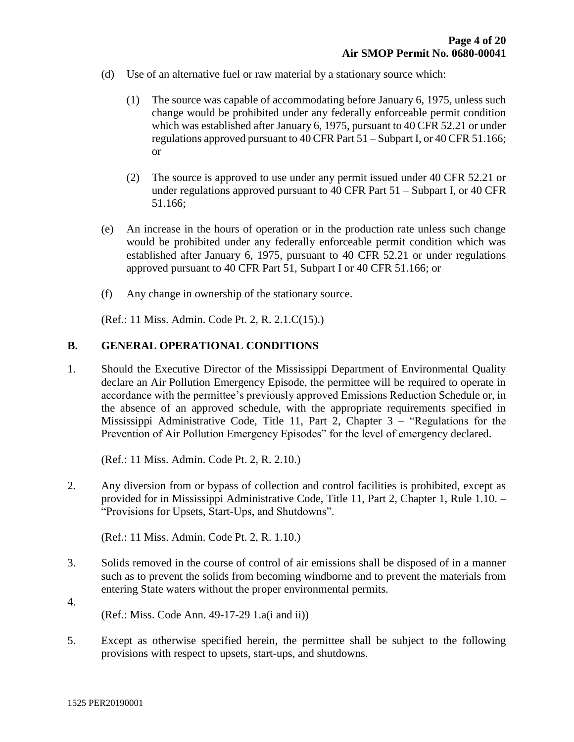- (d) Use of an alternative fuel or raw material by a stationary source which:
	- (1) The source was capable of accommodating before January 6, 1975, unless such change would be prohibited under any federally enforceable permit condition which was established after January 6, 1975, pursuant to 40 CFR 52.21 or under regulations approved pursuant to 40 CFR Part 51 – Subpart I, or 40 CFR 51.166; or
	- (2) The source is approved to use under any permit issued under 40 CFR 52.21 or under regulations approved pursuant to 40 CFR Part 51 – Subpart I, or 40 CFR 51.166;
- (e) An increase in the hours of operation or in the production rate unless such change would be prohibited under any federally enforceable permit condition which was established after January 6, 1975, pursuant to 40 CFR 52.21 or under regulations approved pursuant to 40 CFR Part 51, Subpart I or 40 CFR 51.166; or
- (f) Any change in ownership of the stationary source.

(Ref.: 11 Miss. Admin. Code Pt. 2, R. 2.1.C(15).)

#### **B. GENERAL OPERATIONAL CONDITIONS**

1. Should the Executive Director of the Mississippi Department of Environmental Quality declare an Air Pollution Emergency Episode, the permittee will be required to operate in accordance with the permittee's previously approved Emissions Reduction Schedule or, in the absence of an approved schedule, with the appropriate requirements specified in Mississippi Administrative Code, Title 11, Part 2, Chapter 3 – "Regulations for the Prevention of Air Pollution Emergency Episodes" for the level of emergency declared.

(Ref.: 11 Miss. Admin. Code Pt. 2, R. 2.10.)

2. Any diversion from or bypass of collection and control facilities is prohibited, except as provided for in Mississippi Administrative Code, Title 11, Part 2, Chapter 1, Rule 1.10. – "Provisions for Upsets, Start-Ups, and Shutdowns".

(Ref.: 11 Miss. Admin. Code Pt. 2, R. 1.10.)

- 3. Solids removed in the course of control of air emissions shall be disposed of in a manner such as to prevent the solids from becoming windborne and to prevent the materials from entering State waters without the proper environmental permits.
- 4. (Ref.: Miss. Code Ann. 49-17-29 1.a(i and ii))
- 5. Except as otherwise specified herein, the permittee shall be subject to the following provisions with respect to upsets, start-ups, and shutdowns.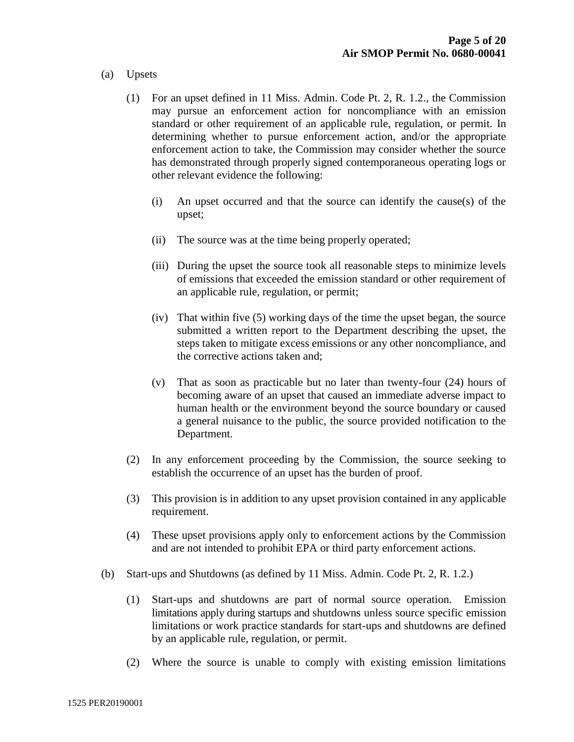#### (a) Upsets

- (1) For an upset defined in 11 Miss. Admin. Code Pt. 2, R. 1.2., the Commission may pursue an enforcement action for noncompliance with an emission standard or other requirement of an applicable rule, regulation, or permit. In determining whether to pursue enforcement action, and/or the appropriate enforcement action to take, the Commission may consider whether the source has demonstrated through properly signed contemporaneous operating logs or other relevant evidence the following:
	- (i) An upset occurred and that the source can identify the cause(s) of the upset;
	- (ii) The source was at the time being properly operated;
	- (iii) During the upset the source took all reasonable steps to minimize levels of emissions that exceeded the emission standard or other requirement of an applicable rule, regulation, or permit;
	- (iv) That within five (5) working days of the time the upset began, the source submitted a written report to the Department describing the upset, the steps taken to mitigate excess emissions or any other noncompliance, and the corrective actions taken and;
	- (v) That as soon as practicable but no later than twenty-four (24) hours of becoming aware of an upset that caused an immediate adverse impact to human health or the environment beyond the source boundary or caused a general nuisance to the public, the source provided notification to the Department.
- (2) In any enforcement proceeding by the Commission, the source seeking to establish the occurrence of an upset has the burden of proof.
- (3) This provision is in addition to any upset provision contained in any applicable requirement.
- (4) These upset provisions apply only to enforcement actions by the Commission and are not intended to prohibit EPA or third party enforcement actions.
- (b) Start-ups and Shutdowns (as defined by 11 Miss. Admin. Code Pt. 2, R. 1.2.)
	- (1) Start-ups and shutdowns are part of normal source operation. Emission limitations apply during startups and shutdowns unless source specific emission limitations or work practice standards for start-ups and shutdowns are defined by an applicable rule, regulation, or permit.
	- (2) Where the source is unable to comply with existing emission limitations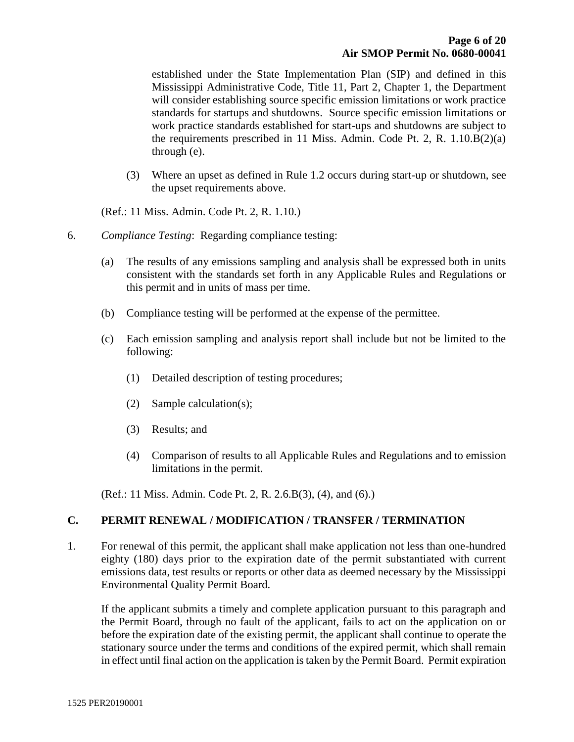established under the State Implementation Plan (SIP) and defined in this Mississippi Administrative Code, Title 11, Part 2, Chapter 1, the Department will consider establishing source specific emission limitations or work practice standards for startups and shutdowns. Source specific emission limitations or work practice standards established for start-ups and shutdowns are subject to the requirements prescribed in 11 Miss. Admin. Code Pt. 2, R. 1.10.B(2)(a) through (e).

(3) Where an upset as defined in Rule 1.2 occurs during start-up or shutdown, see the upset requirements above.

(Ref.: 11 Miss. Admin. Code Pt. 2, R. 1.10.)

- 6. *Compliance Testing*: Regarding compliance testing:
	- (a) The results of any emissions sampling and analysis shall be expressed both in units consistent with the standards set forth in any Applicable Rules and Regulations or this permit and in units of mass per time.
	- (b) Compliance testing will be performed at the expense of the permittee.
	- (c) Each emission sampling and analysis report shall include but not be limited to the following:
		- (1) Detailed description of testing procedures;
		- (2) Sample calculation(s);
		- (3) Results; and
		- (4) Comparison of results to all Applicable Rules and Regulations and to emission limitations in the permit.

(Ref.: 11 Miss. Admin. Code Pt. 2, R. 2.6.B(3), (4), and (6).)

#### **C. PERMIT RENEWAL / MODIFICATION / TRANSFER / TERMINATION**

1. For renewal of this permit, the applicant shall make application not less than one-hundred eighty (180) days prior to the expiration date of the permit substantiated with current emissions data, test results or reports or other data as deemed necessary by the Mississippi Environmental Quality Permit Board.

If the applicant submits a timely and complete application pursuant to this paragraph and the Permit Board, through no fault of the applicant, fails to act on the application on or before the expiration date of the existing permit, the applicant shall continue to operate the stationary source under the terms and conditions of the expired permit, which shall remain in effect until final action on the application is taken by the Permit Board. Permit expiration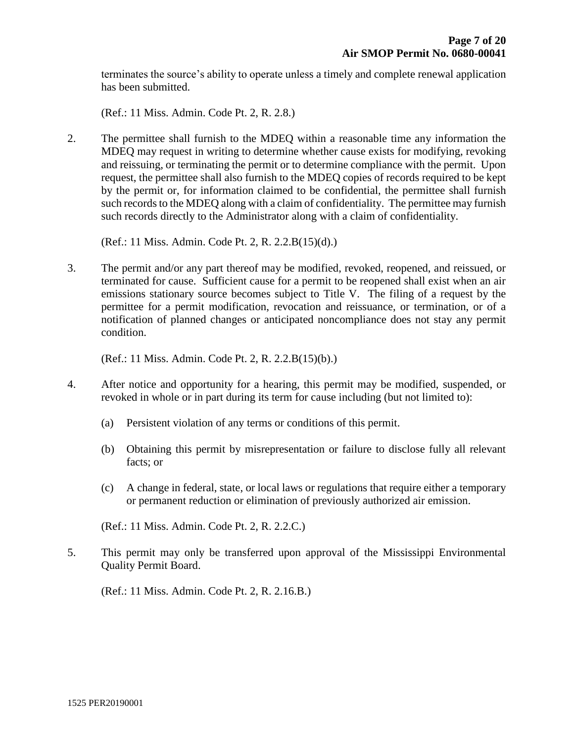terminates the source's ability to operate unless a timely and complete renewal application has been submitted.

(Ref.: 11 Miss. Admin. Code Pt. 2, R. 2.8.)

2. The permittee shall furnish to the MDEQ within a reasonable time any information the MDEQ may request in writing to determine whether cause exists for modifying, revoking and reissuing, or terminating the permit or to determine compliance with the permit. Upon request, the permittee shall also furnish to the MDEQ copies of records required to be kept by the permit or, for information claimed to be confidential, the permittee shall furnish such records to the MDEQ along with a claim of confidentiality. The permittee may furnish such records directly to the Administrator along with a claim of confidentiality.

(Ref.: 11 Miss. Admin. Code Pt. 2, R. 2.2.B(15)(d).)

3. The permit and/or any part thereof may be modified, revoked, reopened, and reissued, or terminated for cause. Sufficient cause for a permit to be reopened shall exist when an air emissions stationary source becomes subject to Title V. The filing of a request by the permittee for a permit modification, revocation and reissuance, or termination, or of a notification of planned changes or anticipated noncompliance does not stay any permit condition.

(Ref.: 11 Miss. Admin. Code Pt. 2, R. 2.2.B(15)(b).)

- 4. After notice and opportunity for a hearing, this permit may be modified, suspended, or revoked in whole or in part during its term for cause including (but not limited to):
	- (a) Persistent violation of any terms or conditions of this permit.
	- (b) Obtaining this permit by misrepresentation or failure to disclose fully all relevant facts; or
	- (c) A change in federal, state, or local laws or regulations that require either a temporary or permanent reduction or elimination of previously authorized air emission.

(Ref.: 11 Miss. Admin. Code Pt. 2, R. 2.2.C.)

5. This permit may only be transferred upon approval of the Mississippi Environmental Quality Permit Board.

(Ref.: 11 Miss. Admin. Code Pt. 2, R. 2.16.B.)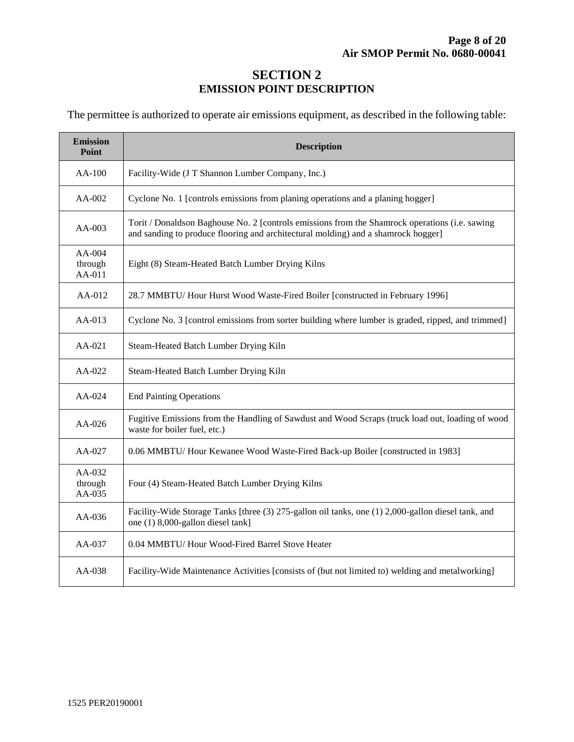## **SECTION 2 EMISSION POINT DESCRIPTION**

The permittee is authorized to operate air emissions equipment, as described in the following table:

| <b>Emission</b><br>Point    | <b>Description</b>                                                                                                                                                                  |  |  |
|-----------------------------|-------------------------------------------------------------------------------------------------------------------------------------------------------------------------------------|--|--|
| AA-100                      | Facility-Wide (J T Shannon Lumber Company, Inc.)                                                                                                                                    |  |  |
| AA-002                      | Cyclone No. 1 [controls emissions from planing operations and a planing hogger]                                                                                                     |  |  |
| $AA-003$                    | Torit / Donaldson Baghouse No. 2 [controls emissions from the Shamrock operations (i.e. sawing<br>and sanding to produce flooring and architectural molding) and a shamrock hogger] |  |  |
| AA-004<br>through<br>AA-011 | Eight (8) Steam-Heated Batch Lumber Drying Kilns                                                                                                                                    |  |  |
| AA-012                      | 28.7 MMBTU/ Hour Hurst Wood Waste-Fired Boiler [constructed in February 1996]                                                                                                       |  |  |
| $AA-013$                    | Cyclone No. 3 [control emissions from sorter building where lumber is graded, ripped, and trimmed]                                                                                  |  |  |
| $AA-021$                    | Steam-Heated Batch Lumber Drying Kiln                                                                                                                                               |  |  |
| $AA-022$                    | Steam-Heated Batch Lumber Drying Kiln                                                                                                                                               |  |  |
| AA-024                      | <b>End Painting Operations</b>                                                                                                                                                      |  |  |
| AA-026                      | Fugitive Emissions from the Handling of Sawdust and Wood Scraps (truck load out, loading of wood<br>waste for boiler fuel, etc.)                                                    |  |  |
| $AA-027$                    | 0.06 MMBTU/ Hour Kewanee Wood Waste-Fired Back-up Boiler [constructed in 1983]                                                                                                      |  |  |
| AA-032<br>through<br>AA-035 | Four (4) Steam-Heated Batch Lumber Drying Kilns                                                                                                                                     |  |  |
| AA-036                      | Facility-Wide Storage Tanks [three (3) 275-gallon oil tanks, one (1) 2,000-gallon diesel tank, and<br>one (1) 8,000-gallon diesel tank]                                             |  |  |
| AA-037                      | 0.04 MMBTU/ Hour Wood-Fired Barrel Stove Heater                                                                                                                                     |  |  |
| $AA-038$                    | Facility-Wide Maintenance Activities [consists of (but not limited to) welding and metalworking]                                                                                    |  |  |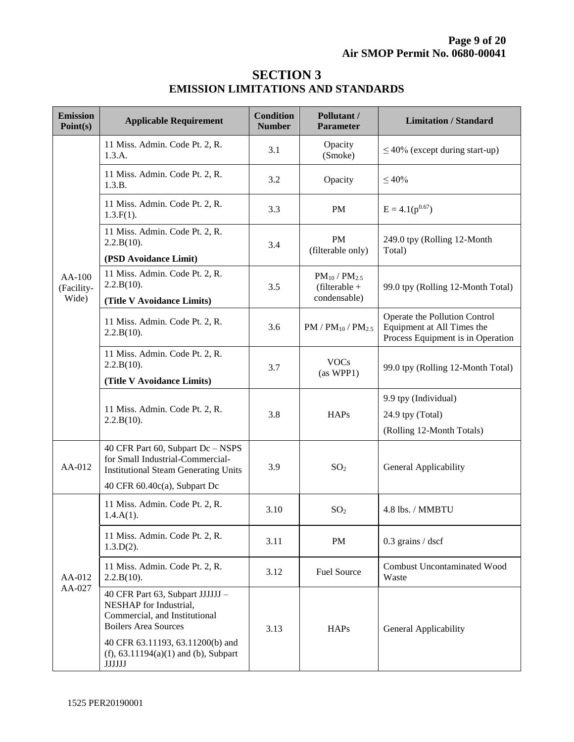## **SECTION 3 EMISSION LIMITATIONS AND STANDARDS**

| <b>Emission</b><br>Point(s)     | <b>Applicable Requirement</b>                                                                                                                        | <b>Condition</b><br><b>Number</b> | Pollutant /<br><b>Parameter</b>                           | <b>Limitation / Standard</b>                                                                     |
|---------------------------------|------------------------------------------------------------------------------------------------------------------------------------------------------|-----------------------------------|-----------------------------------------------------------|--------------------------------------------------------------------------------------------------|
| $AA-100$<br>(Facility-<br>Wide) | 11 Miss. Admin. Code Pt. 2, R.<br>1.3.A.                                                                                                             | 3.1                               | Opacity<br>(Smoke)                                        | $\leq$ 40% (except during start-up)                                                              |
|                                 | 11 Miss. Admin. Code Pt. 2, R.<br>1.3.B.                                                                                                             | 3.2                               | Opacity                                                   | $\leq 40\%$                                                                                      |
|                                 | 11 Miss. Admin. Code Pt. 2, R.<br>$1.3.F(1)$ .                                                                                                       | 3.3                               | <b>PM</b>                                                 | $E = 4.1(p^{0.67})$                                                                              |
|                                 | 11 Miss. Admin. Code Pt. 2, R.<br>2.2.B(10).<br>(PSD Avoidance Limit)                                                                                | 3.4                               | <b>PM</b><br>(filterable only)                            | 249.0 tpy (Rolling 12-Month<br>Total)                                                            |
|                                 | 11 Miss. Admin. Code Pt. 2, R.<br>2.2.B(10).<br>(Title V Avoidance Limits)                                                                           | 3.5                               | $PM_{10}$ / $PM_{2.5}$<br>$(filterable +$<br>condensable) | 99.0 tpy (Rolling 12-Month Total)                                                                |
|                                 | 11 Miss. Admin. Code Pt. 2, R.<br>2.2.B(10).                                                                                                         | 3.6                               | $PM / PM_{10} / PM_{2.5}$                                 | Operate the Pollution Control<br>Equipment at All Times the<br>Process Equipment is in Operation |
|                                 | 11 Miss. Admin. Code Pt. 2, R.<br>2.2.B(10).<br>(Title V Avoidance Limits)                                                                           | 3.7                               | <b>VOCs</b><br>(as WPP1)                                  | 99.0 tpy (Rolling 12-Month Total)                                                                |
|                                 | 11 Miss. Admin. Code Pt. 2, R.<br>$2.2.B(10)$ .                                                                                                      | 3.8                               | <b>HAPs</b>                                               | 9.9 tpy (Individual)<br>24.9 tpy (Total)<br>(Rolling 12-Month Totals)                            |
| AA-012                          | 40 CFR Part 60, Subpart Dc - NSPS<br>for Small Industrial-Commercial-<br><b>Institutional Steam Generating Units</b><br>40 CFR 60.40c(a), Subpart Dc | 3.9                               | SO <sub>2</sub>                                           | General Applicability                                                                            |
| AA-012<br>AA-027                | 11 Miss. Admin. Code Pt. 2, R.<br>$1.4.A(1)$ .                                                                                                       | 3.10                              | SO <sub>2</sub>                                           | 4.8 lbs. / MMBTU                                                                                 |
|                                 | 11 Miss. Admin. Code Pt. 2, R.<br>$1.3.D(2)$ .                                                                                                       | 3.11                              | PM                                                        | $0.3$ grains / dscf                                                                              |
|                                 | 11 Miss. Admin. Code Pt. 2, R.<br>2.2.B(10).                                                                                                         | 3.12                              | <b>Fuel Source</b>                                        | <b>Combust Uncontaminated Wood</b><br>Waste                                                      |
|                                 | 40 CFR Part 63, Subpart JJJJJJ -<br>NESHAP for Industrial,<br>Commercial, and Institutional<br><b>Boilers Area Sources</b>                           | 3.13                              | <b>HAPs</b>                                               | General Applicability                                                                            |
|                                 | 40 CFR 63.11193, 63.11200(b) and<br>(f), $63.11194(a)(1)$ and (b), Subpart<br>$\rm JJJJJJ$                                                           |                                   |                                                           |                                                                                                  |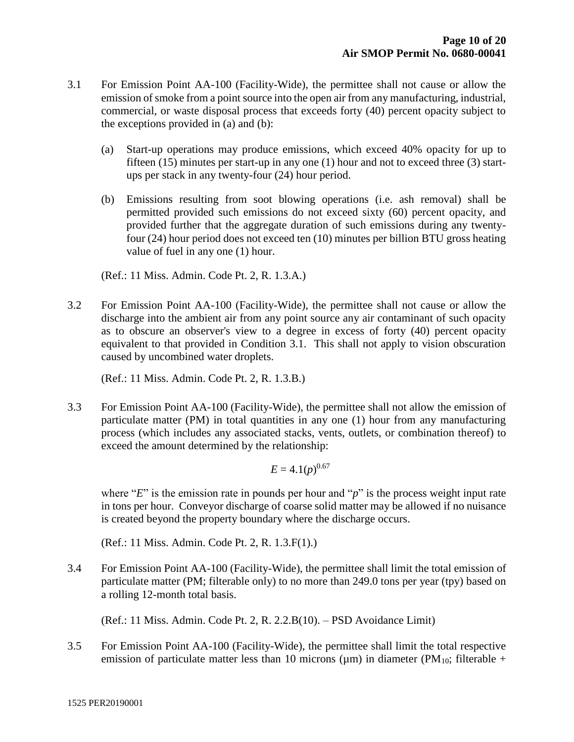- 3.1 For Emission Point AA-100 (Facility-Wide), the permittee shall not cause or allow the emission of smoke from a point source into the open air from any manufacturing, industrial, commercial, or waste disposal process that exceeds forty (40) percent opacity subject to the exceptions provided in (a) and (b):
	- (a) Start-up operations may produce emissions, which exceed 40% opacity for up to fifteen (15) minutes per start-up in any one (1) hour and not to exceed three (3) startups per stack in any twenty-four (24) hour period.
	- (b) Emissions resulting from soot blowing operations (i.e. ash removal) shall be permitted provided such emissions do not exceed sixty (60) percent opacity, and provided further that the aggregate duration of such emissions during any twentyfour (24) hour period does not exceed ten (10) minutes per billion BTU gross heating value of fuel in any one (1) hour.

(Ref.: 11 Miss. Admin. Code Pt. 2, R. 1.3.A.)

3.2 For Emission Point AA-100 (Facility-Wide), the permittee shall not cause or allow the discharge into the ambient air from any point source any air contaminant of such opacity as to obscure an observer's view to a degree in excess of forty (40) percent opacity equivalent to that provided in Condition 3.1. This shall not apply to vision obscuration caused by uncombined water droplets.

(Ref.: 11 Miss. Admin. Code Pt. 2, R. 1.3.B.)

3.3 For Emission Point AA-100 (Facility-Wide), the permittee shall not allow the emission of particulate matter (PM) in total quantities in any one (1) hour from any manufacturing process (which includes any associated stacks, vents, outlets, or combination thereof) to exceed the amount determined by the relationship:

$$
E = 4.1(p)^{0.67}
$$

where "*E*" is the emission rate in pounds per hour and "*p*" is the process weight input rate in tons per hour. Conveyor discharge of coarse solid matter may be allowed if no nuisance is created beyond the property boundary where the discharge occurs.

(Ref.: 11 Miss. Admin. Code Pt. 2, R. 1.3.F(1).)

3.4 For Emission Point AA-100 (Facility-Wide), the permittee shall limit the total emission of particulate matter (PM; filterable only) to no more than 249.0 tons per year (tpy) based on a rolling 12-month total basis.

(Ref.: 11 Miss. Admin. Code Pt. 2, R. 2.2.B(10). – PSD Avoidance Limit)

3.5 For Emission Point AA-100 (Facility-Wide), the permittee shall limit the total respective emission of particulate matter less than 10 microns ( $\mu$ m) in diameter (PM<sub>10</sub>; filterable +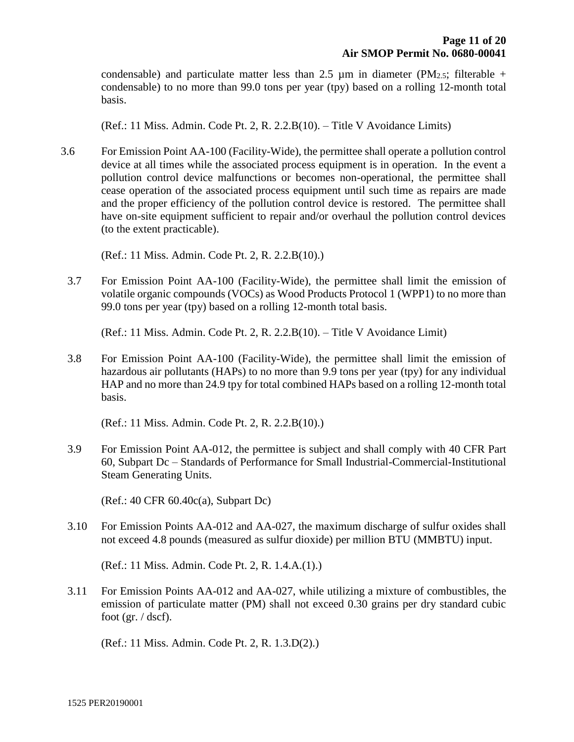condensable) and particulate matter less than 2.5  $\mu$ m in diameter (PM<sub>2.5</sub>; filterable + condensable) to no more than 99.0 tons per year (tpy) based on a rolling 12-month total basis.

(Ref.: 11 Miss. Admin. Code Pt. 2, R. 2.2.B(10). – Title V Avoidance Limits)

3.6 For Emission Point AA-100 (Facility-Wide), the permittee shall operate a pollution control device at all times while the associated process equipment is in operation. In the event a pollution control device malfunctions or becomes non-operational, the permittee shall cease operation of the associated process equipment until such time as repairs are made and the proper efficiency of the pollution control device is restored. The permittee shall have on-site equipment sufficient to repair and/or overhaul the pollution control devices (to the extent practicable).

(Ref.: 11 Miss. Admin. Code Pt. 2, R. 2.2.B(10).)

3.7 For Emission Point AA-100 (Facility-Wide), the permittee shall limit the emission of volatile organic compounds (VOCs) as Wood Products Protocol 1 (WPP1) to no more than 99.0 tons per year (tpy) based on a rolling 12-month total basis.

(Ref.: 11 Miss. Admin. Code Pt. 2, R. 2.2.B(10). – Title V Avoidance Limit)

3.8 For Emission Point AA-100 (Facility-Wide), the permittee shall limit the emission of hazardous air pollutants (HAPs) to no more than 9.9 tons per year (tpy) for any individual HAP and no more than 24.9 tpy for total combined HAPs based on a rolling 12-month total basis.

(Ref.: 11 Miss. Admin. Code Pt. 2, R. 2.2.B(10).)

3.9 For Emission Point AA-012, the permittee is subject and shall comply with 40 CFR Part 60, Subpart Dc – Standards of Performance for Small Industrial-Commercial-Institutional Steam Generating Units.

(Ref.: 40 CFR 60.40c(a), Subpart Dc)

3.10 For Emission Points AA-012 and AA-027, the maximum discharge of sulfur oxides shall not exceed 4.8 pounds (measured as sulfur dioxide) per million BTU (MMBTU) input.

(Ref.: 11 Miss. Admin. Code Pt. 2, R. 1.4.A.(1).)

3.11 For Emission Points AA-012 and AA-027, while utilizing a mixture of combustibles, the emission of particulate matter (PM) shall not exceed 0.30 grains per dry standard cubic foot (gr.  $/$  dscf).

(Ref.: 11 Miss. Admin. Code Pt. 2, R. 1.3.D(2).)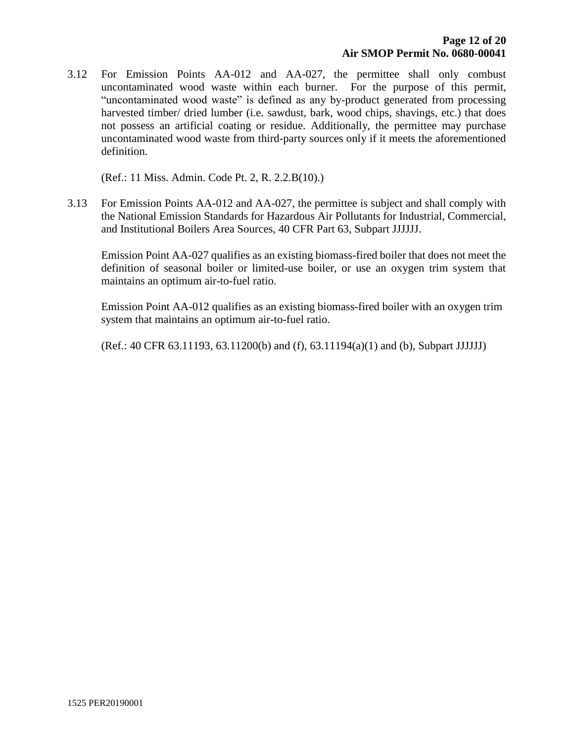3.12 For Emission Points AA-012 and AA-027, the permittee shall only combust uncontaminated wood waste within each burner. For the purpose of this permit, "uncontaminated wood waste" is defined as any by-product generated from processing harvested timber/ dried lumber (i.e. sawdust, bark, wood chips, shavings, etc.) that does not possess an artificial coating or residue. Additionally, the permittee may purchase uncontaminated wood waste from third-party sources only if it meets the aforementioned definition.

(Ref.: 11 Miss. Admin. Code Pt. 2, R. 2.2.B(10).)

3.13 For Emission Points AA-012 and AA-027, the permittee is subject and shall comply with the National Emission Standards for Hazardous Air Pollutants for Industrial, Commercial, and Institutional Boilers Area Sources, 40 CFR Part 63, Subpart JJJJJJ.

Emission Point AA-027 qualifies as an existing biomass-fired boiler that does not meet the definition of seasonal boiler or limited-use boiler, or use an oxygen trim system that maintains an optimum air-to-fuel ratio.

Emission Point AA-012 qualifies as an existing biomass-fired boiler with an oxygen trim system that maintains an optimum air-to-fuel ratio.

(Ref.: 40 CFR 63.11193, 63.11200(b) and (f), 63.11194(a)(1) and (b), Subpart JJJJJJ)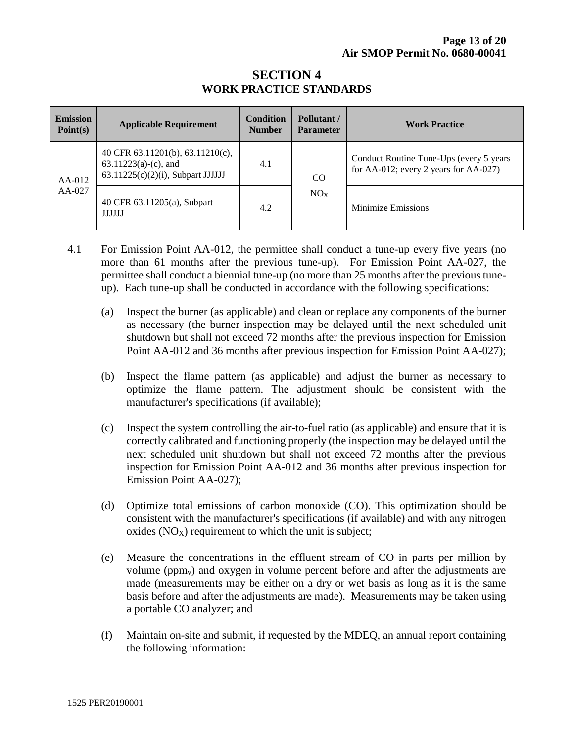#### **SECTION 4 WORK PRACTICE STANDARDS**

| <b>Emission</b><br>Point(s) | <b>Applicable Requirement</b>                                                                       | <b>Condition</b><br><b>Number</b> | Pollutant/<br><b>Parameter</b> | <b>Work Practice</b>                                                              |
|-----------------------------|-----------------------------------------------------------------------------------------------------|-----------------------------------|--------------------------------|-----------------------------------------------------------------------------------|
| $AA-012$<br>$AA-027$        | 40 CFR 63.11201(b), 63.11210(c),<br>$63.11223(a)-(c)$ , and<br>$63.11225(c)(2)(i)$ , Subpart JJJJJJ | 4.1                               | <b>CO</b><br>NO <sub>X</sub>   | Conduct Routine Tune-Ups (every 5 years)<br>for AA-012; every 2 years for AA-027) |
|                             | 40 CFR 63.11205(a), Subpart<br><b>JJJJJJ</b>                                                        | 4.2                               |                                | Minimize Emissions                                                                |

- 4.1 For Emission Point AA-012, the permittee shall conduct a tune-up every five years (no more than 61 months after the previous tune-up). For Emission Point AA-027, the permittee shall conduct a biennial tune-up (no more than 25 months after the previous tuneup). Each tune-up shall be conducted in accordance with the following specifications:
	- (a) Inspect the burner (as applicable) and clean or replace any components of the burner as necessary (the burner inspection may be delayed until the next scheduled unit shutdown but shall not exceed 72 months after the previous inspection for Emission Point AA-012 and 36 months after previous inspection for Emission Point AA-027);
	- (b) Inspect the flame pattern (as applicable) and adjust the burner as necessary to optimize the flame pattern. The adjustment should be consistent with the manufacturer's specifications (if available);
	- (c) Inspect the system controlling the air-to-fuel ratio (as applicable) and ensure that it is correctly calibrated and functioning properly (the inspection may be delayed until the next scheduled unit shutdown but shall not exceed 72 months after the previous inspection for Emission Point AA-012 and 36 months after previous inspection for Emission Point AA-027);
	- (d) Optimize total emissions of carbon monoxide (CO). This optimization should be consistent with the manufacturer's specifications (if available) and with any nitrogen oxides  $(NO<sub>X</sub>)$  requirement to which the unit is subject;
	- (e) Measure the concentrations in the effluent stream of CO in parts per million by volume (ppmv) and oxygen in volume percent before and after the adjustments are made (measurements may be either on a dry or wet basis as long as it is the same basis before and after the adjustments are made). Measurements may be taken using a portable CO analyzer; and
	- (f) Maintain on-site and submit, if requested by the MDEQ, an annual report containing the following information: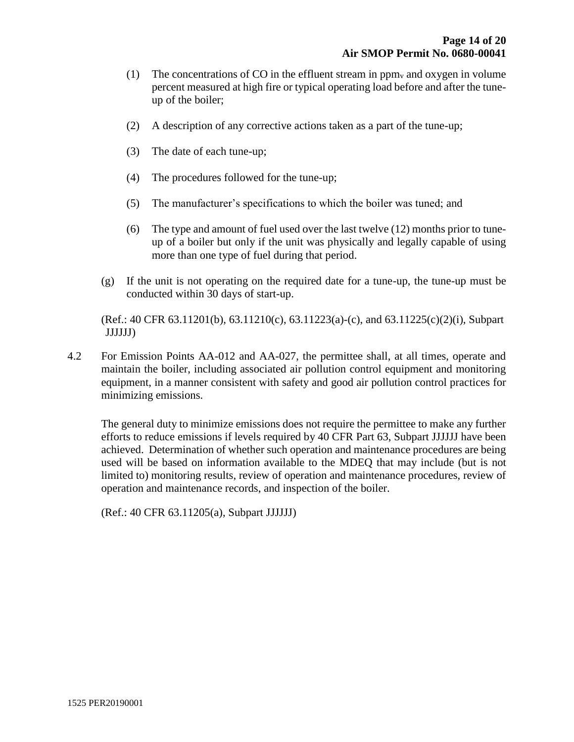- (1) The concentrations of CO in the effluent stream in ppm<sub>v</sub> and oxygen in volume percent measured at high fire or typical operating load before and after the tuneup of the boiler;
- (2) A description of any corrective actions taken as a part of the tune-up;
- (3) The date of each tune-up;
- (4) The procedures followed for the tune-up;
- (5) The manufacturer's specifications to which the boiler was tuned; and
- (6) The type and amount of fuel used over the last twelve (12) months prior to tuneup of a boiler but only if the unit was physically and legally capable of using more than one type of fuel during that period.
- $(g)$  If the unit is not operating on the required date for a tune-up, the tune-up must be conducted within 30 days of start-up.

(Ref.: 40 CFR 63.11201(b), 63.11210(c), 63.11223(a)-(c), and 63.11225(c)(2)(i), Subpart JJJJJJ)

4.2 For Emission Points AA-012 and AA-027, the permittee shall, at all times, operate and maintain the boiler, including associated air pollution control equipment and monitoring equipment, in a manner consistent with safety and good air pollution control practices for minimizing emissions.

The general duty to minimize emissions does not require the permittee to make any further efforts to reduce emissions if levels required by 40 CFR Part 63, Subpart JJJJJJ have been achieved. Determination of whether such operation and maintenance procedures are being used will be based on information available to the MDEQ that may include (but is not limited to) monitoring results, review of operation and maintenance procedures, review of operation and maintenance records, and inspection of the boiler.

(Ref.: 40 CFR 63.11205(a), Subpart JJJJJJ)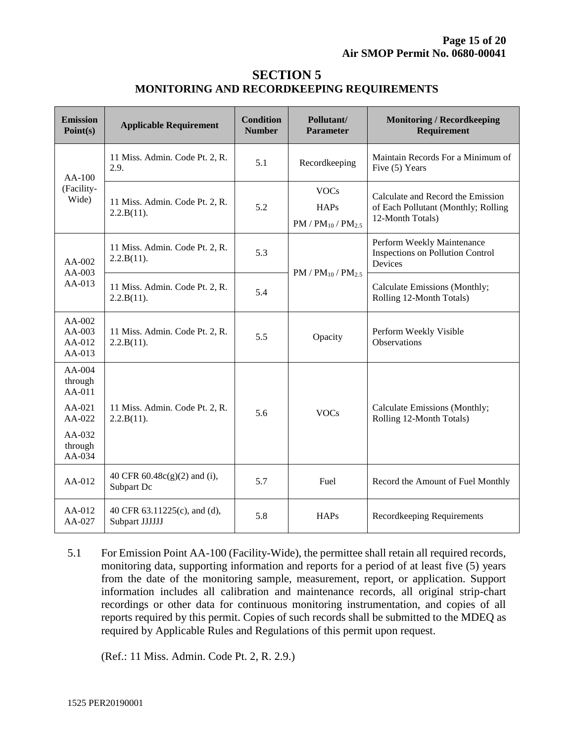#### **SECTION 5 MONITORING AND RECORDKEEPING REQUIREMENTS**

| <b>Emission</b><br>Point(s)                                                        | <b>Applicable Requirement</b>                  | <b>Condition</b><br><b>Number</b> | Pollutant/<br><b>Parameter</b>                          | <b>Monitoring / Recordkeeping</b><br>Requirement                                             |
|------------------------------------------------------------------------------------|------------------------------------------------|-----------------------------------|---------------------------------------------------------|----------------------------------------------------------------------------------------------|
| $AA-100$<br>(Facility-<br>Wide)                                                    | 11 Miss. Admin. Code Pt. 2, R.<br>2.9.         | 5.1                               | Recordkeeping                                           | Maintain Records For a Minimum of<br>Five (5) Years                                          |
|                                                                                    | 11 Miss. Admin. Code Pt. 2, R.<br>2.2.B(11).   | 5.2                               | <b>VOCs</b><br><b>HAPs</b><br>$PM / PM_{10} / PM_{2.5}$ | Calculate and Record the Emission<br>of Each Pollutant (Monthly; Rolling<br>12-Month Totals) |
| AA-002<br>$AA-003$<br>$AA-013$                                                     | 11 Miss. Admin. Code Pt. 2, R.<br>2.2.B(11).   | 5.3                               | $PM / PM_{10} / PM_{2.5}$                               | Perform Weekly Maintenance<br>Inspections on Pollution Control<br>Devices                    |
|                                                                                    | 11 Miss. Admin. Code Pt. 2, R.<br>2.2.B(11).   | 5.4                               |                                                         | Calculate Emissions (Monthly;<br>Rolling 12-Month Totals)                                    |
| AA-002<br>AA-003<br>AA-012<br>AA-013                                               | 11 Miss. Admin. Code Pt. 2, R.<br>2.2.B(11).   | 5.5                               | Opacity                                                 | Perform Weekly Visible<br>Observations                                                       |
| AA-004<br>through<br>$AA-011$<br>AA-021<br>$AA-022$<br>AA-032<br>through<br>AA-034 | 11 Miss. Admin. Code Pt. 2, R.<br>2.2.B(11).   | 5.6                               | <b>VOCs</b>                                             | Calculate Emissions (Monthly;<br>Rolling 12-Month Totals)                                    |
| AA-012                                                                             | 40 CFR 60.48c(g)(2) and (i),<br>Subpart Dc     | 5.7                               | Fuel                                                    | Record the Amount of Fuel Monthly                                                            |
| AA-012<br>AA-027                                                                   | 40 CFR 63.11225(c), and (d),<br>Subpart JJJJJJ | 5.8                               | <b>HAPs</b>                                             | Recordkeeping Requirements                                                                   |

5.1 For Emission Point AA-100 (Facility-Wide), the permittee shall retain all required records, monitoring data, supporting information and reports for a period of at least five (5) years from the date of the monitoring sample, measurement, report, or application. Support information includes all calibration and maintenance records, all original strip-chart recordings or other data for continuous monitoring instrumentation, and copies of all reports required by this permit. Copies of such records shall be submitted to the MDEQ as required by Applicable Rules and Regulations of this permit upon request.

(Ref.: 11 Miss. Admin. Code Pt. 2, R. 2.9.)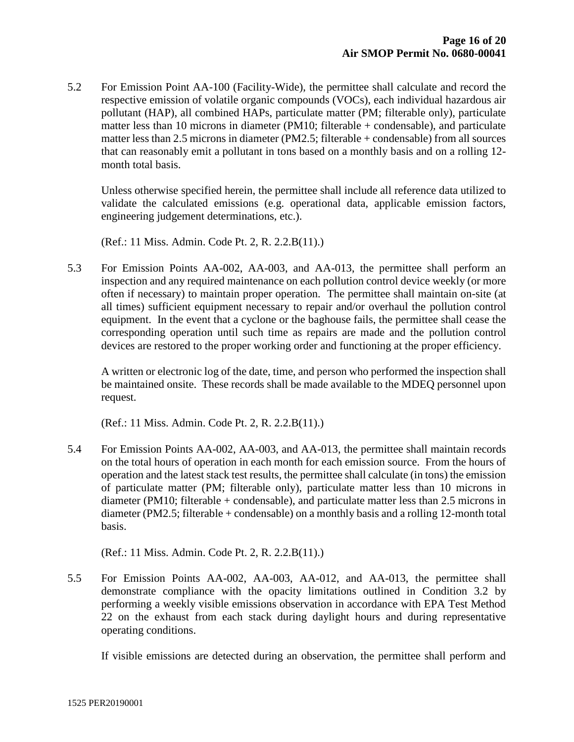5.2 For Emission Point AA-100 (Facility-Wide), the permittee shall calculate and record the respective emission of volatile organic compounds (VOCs), each individual hazardous air pollutant (HAP), all combined HAPs, particulate matter (PM; filterable only), particulate matter less than 10 microns in diameter (PM10; filterable + condensable), and particulate matter less than 2.5 microns in diameter (PM2.5; filterable + condensable) from all sources that can reasonably emit a pollutant in tons based on a monthly basis and on a rolling 12 month total basis.

Unless otherwise specified herein, the permittee shall include all reference data utilized to validate the calculated emissions (e.g. operational data, applicable emission factors, engineering judgement determinations, etc.).

(Ref.: 11 Miss. Admin. Code Pt. 2, R. 2.2.B(11).)

5.3 For Emission Points AA-002, AA-003, and AA-013, the permittee shall perform an inspection and any required maintenance on each pollution control device weekly (or more often if necessary) to maintain proper operation. The permittee shall maintain on-site (at all times) sufficient equipment necessary to repair and/or overhaul the pollution control equipment. In the event that a cyclone or the baghouse fails, the permittee shall cease the corresponding operation until such time as repairs are made and the pollution control devices are restored to the proper working order and functioning at the proper efficiency.

A written or electronic log of the date, time, and person who performed the inspection shall be maintained onsite. These records shall be made available to the MDEQ personnel upon request.

(Ref.: 11 Miss. Admin. Code Pt. 2, R. 2.2.B(11).)

5.4 For Emission Points AA-002, AA-003, and AA-013, the permittee shall maintain records on the total hours of operation in each month for each emission source. From the hours of operation and the latest stack test results, the permittee shall calculate (in tons) the emission of particulate matter (PM; filterable only), particulate matter less than 10 microns in diameter (PM10; filterable + condensable), and particulate matter less than 2.5 microns in diameter (PM2.5; filterable + condensable) on a monthly basis and a rolling 12-month total basis.

(Ref.: 11 Miss. Admin. Code Pt. 2, R. 2.2.B(11).)

5.5 For Emission Points AA-002, AA-003, AA-012, and AA-013, the permittee shall demonstrate compliance with the opacity limitations outlined in Condition 3.2 by performing a weekly visible emissions observation in accordance with EPA Test Method 22 on the exhaust from each stack during daylight hours and during representative operating conditions.

If visible emissions are detected during an observation, the permittee shall perform and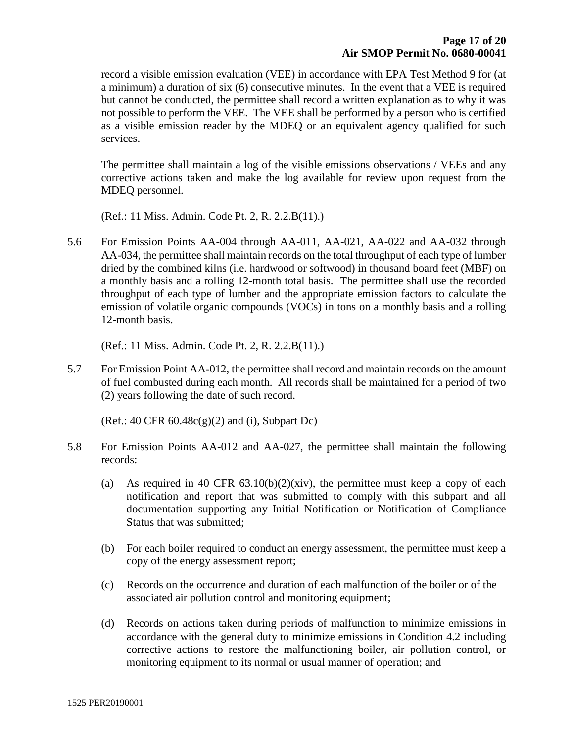record a visible emission evaluation (VEE) in accordance with EPA Test Method 9 for (at a minimum) a duration of six (6) consecutive minutes. In the event that a VEE is required but cannot be conducted, the permittee shall record a written explanation as to why it was not possible to perform the VEE. The VEE shall be performed by a person who is certified as a visible emission reader by the MDEQ or an equivalent agency qualified for such services.

The permittee shall maintain a log of the visible emissions observations / VEEs and any corrective actions taken and make the log available for review upon request from the MDEQ personnel.

(Ref.: 11 Miss. Admin. Code Pt. 2, R. 2.2.B(11).)

5.6 For Emission Points AA-004 through AA-011, AA-021, AA-022 and AA-032 through AA-034, the permittee shall maintain records on the total throughput of each type of lumber dried by the combined kilns (i.e. hardwood or softwood) in thousand board feet (MBF) on a monthly basis and a rolling 12-month total basis. The permittee shall use the recorded throughput of each type of lumber and the appropriate emission factors to calculate the emission of volatile organic compounds (VOCs) in tons on a monthly basis and a rolling 12-month basis.

(Ref.: 11 Miss. Admin. Code Pt. 2, R. 2.2.B(11).)

5.7 For Emission Point AA-012, the permittee shall record and maintain records on the amount of fuel combusted during each month. All records shall be maintained for a period of two (2) years following the date of such record.

 $(Ref.: 40 CFR 60.48c(g)(2)$  and (i), Subpart Dc)

- 5.8 For Emission Points AA-012 and AA-027, the permittee shall maintain the following records:
	- (a) As required in 40 CFR  $63.10(b)(2)(xiv)$ , the permittee must keep a copy of each notification and report that was submitted to comply with this subpart and all documentation supporting any Initial Notification or Notification of Compliance Status that was submitted;
	- (b) For each boiler required to conduct an energy assessment, the permittee must keep a copy of the energy assessment report;
	- (c) Records on the occurrence and duration of each malfunction of the boiler or of the associated air pollution control and monitoring equipment;
	- (d) Records on actions taken during periods of malfunction to minimize emissions in accordance with the general duty to minimize emissions in Condition 4.2 including corrective actions to restore the malfunctioning boiler, air pollution control, or monitoring equipment to its normal or usual manner of operation; and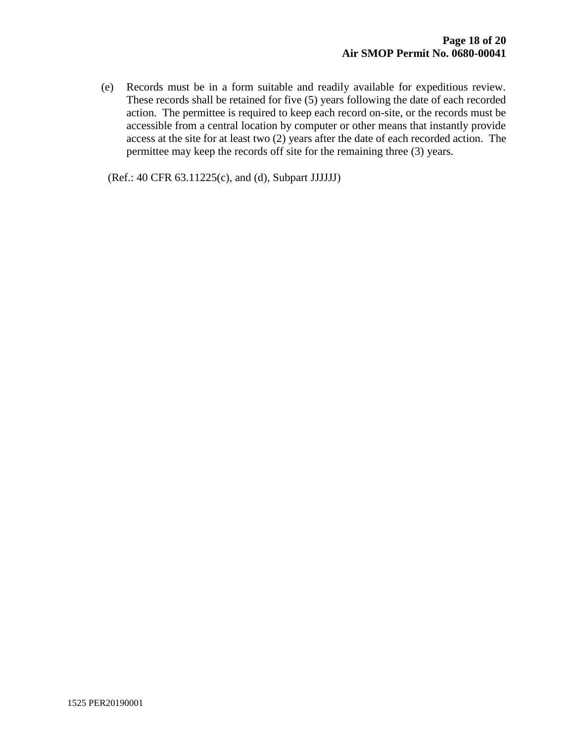(e) Records must be in a form suitable and readily available for expeditious review. These records shall be retained for five (5) years following the date of each recorded action. The permittee is required to keep each record on-site, or the records must be accessible from a central location by computer or other means that instantly provide access at the site for at least two (2) years after the date of each recorded action. The permittee may keep the records off site for the remaining three (3) years.

(Ref.: 40 CFR 63.11225(c), and (d), Subpart JJJJJJ)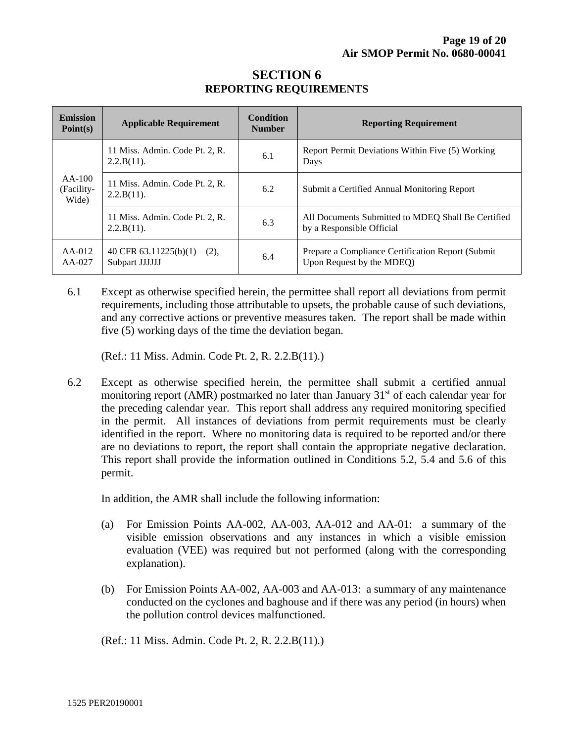| <b>Emission</b><br>Point(s)     | <b>Applicable Requirement</b>                   | <b>Condition</b><br><b>Number</b> | <b>Reporting Requirement</b>                                                    |
|---------------------------------|-------------------------------------------------|-----------------------------------|---------------------------------------------------------------------------------|
| $AA-100$<br>(Facility-<br>Wide) | 11 Miss. Admin. Code Pt. 2, R.<br>$2.2.B(11)$ . | 6.1                               | Report Permit Deviations Within Five (5) Working<br>Days                        |
|                                 | 11 Miss. Admin. Code Pt. 2, R.<br>$2.2.B(11)$ . | 6.2                               | Submit a Certified Annual Monitoring Report                                     |
|                                 | 11 Miss. Admin. Code Pt. 2, R.<br>2.2.B(11).    | 6.3                               | All Documents Submitted to MDEQ Shall Be Certified<br>by a Responsible Official |
| $AA-012$<br>$AA-027$            | 40 CFR 63.11225(b)(1) – (2),<br>Subpart JJJJJJ  | 6.4                               | Prepare a Compliance Certification Report (Submit)<br>Upon Request by the MDEQ) |

### **SECTION 6 REPORTING REQUIREMENTS**

6.1 Except as otherwise specified herein, the permittee shall report all deviations from permit requirements, including those attributable to upsets, the probable cause of such deviations, and any corrective actions or preventive measures taken. The report shall be made within five (5) working days of the time the deviation began.

(Ref.: 11 Miss. Admin. Code Pt. 2, R. 2.2.B(11).)

6.2 Except as otherwise specified herein, the permittee shall submit a certified annual monitoring report (AMR) postmarked no later than January  $31<sup>st</sup>$  of each calendar year for the preceding calendar year. This report shall address any required monitoring specified in the permit. All instances of deviations from permit requirements must be clearly identified in the report. Where no monitoring data is required to be reported and/or there are no deviations to report, the report shall contain the appropriate negative declaration. This report shall provide the information outlined in Conditions 5.2, 5.4 and 5.6 of this permit.

In addition, the AMR shall include the following information:

- (a) For Emission Points AA-002, AA-003, AA-012 and AA-01: a summary of the visible emission observations and any instances in which a visible emission evaluation (VEE) was required but not performed (along with the corresponding explanation).
- (b) For Emission Points AA-002, AA-003 and AA-013: a summary of any maintenance conducted on the cyclones and baghouse and if there was any period (in hours) when the pollution control devices malfunctioned.

(Ref.: 11 Miss. Admin. Code Pt. 2, R. 2.2.B(11).)